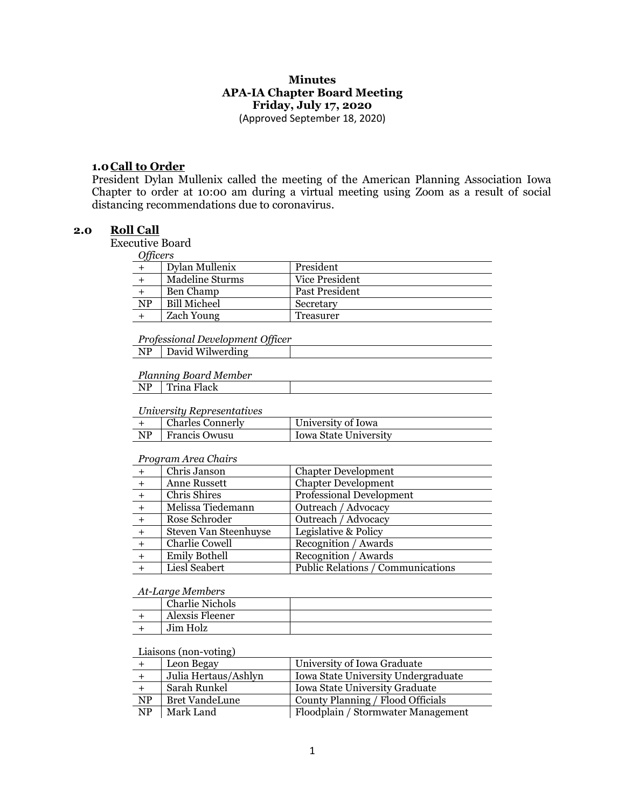#### **Minutes APA-IA Chapter Board Meeting Friday, July 17, 2020** (Approved September 18, 2020)

# **1.0Call to Order**

President Dylan Mullenix called the meeting of the American Planning Association Iowa Chapter to order at 10:00 am during a virtual meeting using Zoom as a result of social distancing recommendations due to coronavirus.

## **2.0 Roll Call**

Executive Board

| <b>Officers</b> |
|-----------------|
|-----------------|

| $\sim$ $\mu$ . $\sim$ |                     |                |
|-----------------------|---------------------|----------------|
|                       | Dylan Mullenix      | President      |
|                       | Madeline Sturms     | Vice President |
|                       | Ben Champ           | Past President |
| NP                    | <b>Bill Micheel</b> | Secretary      |
|                       | <b>Zach Young</b>   | Treasurer      |

#### *Professional Development Officer*

| David Wilwerding |  |
|------------------|--|
|                  |  |

#### *Planning Board Member*

## NP Trina Flack

#### *University Representatives*

|    | <b>Charles Connerly</b> | University of Iowa           |
|----|-------------------------|------------------------------|
| NP | P∣Francis Owusu         | <b>Iowa State University</b> |

#### *Program Area Chairs*

|     | Chris Janson          | <b>Chapter Development</b>        |
|-----|-----------------------|-----------------------------------|
| $+$ | Anne Russett          | <b>Chapter Development</b>        |
|     | Chris Shires          | <b>Professional Development</b>   |
|     | Melissa Tiedemann     | Outreach / Advocacy               |
|     | Rose Schroder         | Outreach / Advocacy               |
|     | Steven Van Steenhuyse | Legislative & Policy              |
|     | Charlie Cowell        | Recognition / Awards              |
| $+$ | <b>Emily Bothell</b>  | Recognition / Awards              |
|     | Liesl Seabert         | Public Relations / Communications |
|     |                       |                                   |

#### *At-Large Members*

| <b>Charlie Nichols</b> |  |
|------------------------|--|
| Alexsis Fleener        |  |
| Jim Holz               |  |

#### Liaisons (non-voting)

|                        | Leon Begay            | University of Iowa Graduate         |
|------------------------|-----------------------|-------------------------------------|
|                        | Julia Hertaus/Ashlyn  | Iowa State University Undergraduate |
|                        | Sarah Runkel          | Iowa State University Graduate      |
| NP                     | <b>Bret VandeLune</b> | County Planning / Flood Officials   |
| $\overline{\text{NP}}$ | Mark Land             | Floodplain / Stormwater Management  |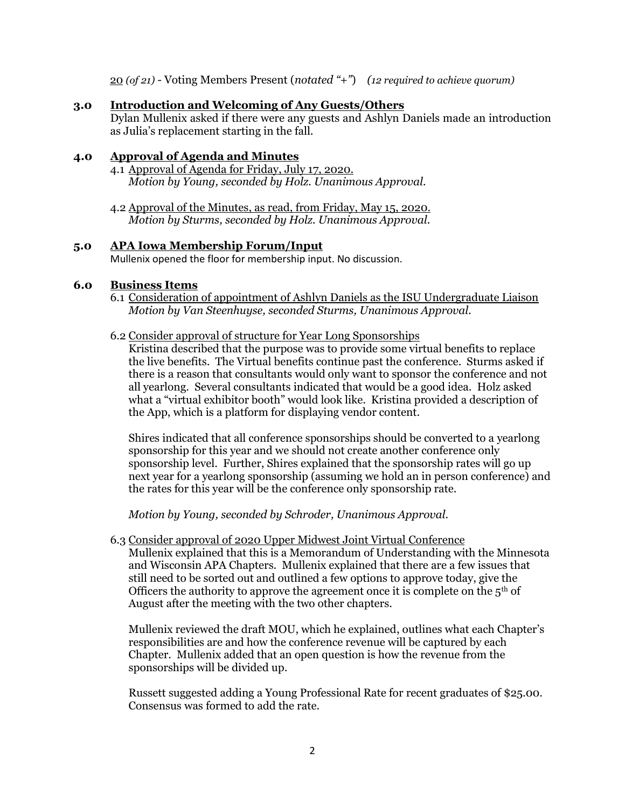20 *(of 21)* - Voting Members Present (*notated "+"*) *(12 required to achieve quorum)*

#### **3.0 Introduction and Welcoming of Any Guests/Others**

Dylan Mullenix asked if there were any guests and Ashlyn Daniels made an introduction as Julia's replacement starting in the fall.

#### **4.0 Approval of Agenda and Minutes**

- 4.1 Approval of Agenda for Friday, July 17, 2020. *Motion by Young, seconded by Holz. Unanimous Approval.*
- 4.2 Approval of the Minutes, as read, from Friday, May 15, 2020. *Motion by Sturms, seconded by Holz. Unanimous Approval.*

#### **5.0 APA Iowa Membership Forum/Input**

Mullenix opened the floor for membership input. No discussion.

#### **6.0 Business Items**

6.1 Consideration of appointment of Ashlyn Daniels as the ISU Undergraduate Liaison *Motion by Van Steenhuyse, seconded Sturms, Unanimous Approval.*

#### 6.2 Consider approval of structure for Year Long Sponsorships

Kristina described that the purpose was to provide some virtual benefits to replace the live benefits. The Virtual benefits continue past the conference. Sturms asked if there is a reason that consultants would only want to sponsor the conference and not all yearlong. Several consultants indicated that would be a good idea. Holz asked what a "virtual exhibitor booth" would look like. Kristina provided a description of the App, which is a platform for displaying vendor content.

Shires indicated that all conference sponsorships should be converted to a yearlong sponsorship for this year and we should not create another conference only sponsorship level. Further, Shires explained that the sponsorship rates will go up next year for a yearlong sponsorship (assuming we hold an in person conference) and the rates for this year will be the conference only sponsorship rate.

*Motion by Young, seconded by Schroder, Unanimous Approval.*

6.3 Consider approval of 2020 Upper Midwest Joint Virtual Conference

Mullenix explained that this is a Memorandum of Understanding with the Minnesota and Wisconsin APA Chapters. Mullenix explained that there are a few issues that still need to be sorted out and outlined a few options to approve today, give the Officers the authority to approve the agreement once it is complete on the  $5<sup>th</sup>$  of August after the meeting with the two other chapters.

Mullenix reviewed the draft MOU, which he explained, outlines what each Chapter's responsibilities are and how the conference revenue will be captured by each Chapter. Mullenix added that an open question is how the revenue from the sponsorships will be divided up.

Russett suggested adding a Young Professional Rate for recent graduates of \$25.00. Consensus was formed to add the rate.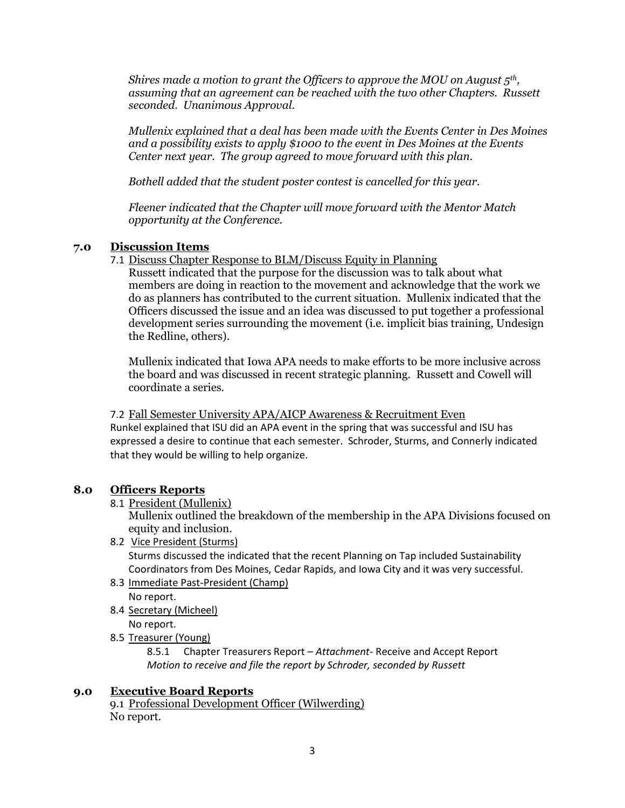*Shires made a motion to grant the Officers to approve the MOU on August 5th , assuming that an agreement can be reached with the two other Chapters. Russett seconded. Unanimous Approval.*

*Mullenix explained that a deal has been made with the Events Center in Des Moines and a possibility exists to apply \$1000 to the event in Des Moines at the Events Center next year. The group agreed to move forward with this plan.*

*Bothell added that the student poster contest is cancelled for this year.*

*Fleener indicated that the Chapter will move forward with the Mentor Match opportunity at the Conference.*

## **7.0 Discussion Items**

7.1 Discuss Chapter Response to BLM/Discuss Equity in Planning

Russett indicated that the purpose for the discussion was to talk about what members are doing in reaction to the movement and acknowledge that the work we do as planners has contributed to the current situation. Mullenix indicated that the Officers discussed the issue and an idea was discussed to put together a professional development series surrounding the movement (i.e. implicit bias training, Undesign the Redline, others).

Mullenix indicated that Iowa APA needs to make efforts to be more inclusive across the board and was discussed in recent strategic planning. Russett and Cowell will coordinate a series.

7.2 Fall Semester University APA/AICP Awareness & Recruitment Even Runkel explained that ISU did an APA event in the spring that was successful and ISU has expressed a desire to continue that each semester. Schroder, Sturms, and Connerly indicated that they would be willing to help organize.

## **8.0 Officers Reports**

8.1 President (Mullenix)

Mullenix outlined the breakdown of the membership in the APA Divisions focused on equity and inclusion.

- 8.2 Vice President (Sturms) Sturms discussed the indicated that the recent Planning on Tap included Sustainability Coordinators from Des Moines, Cedar Rapids, and Iowa City and it was very successful.
- 8.3 Immediate Past-President (Champ) No report.
- 8.4 Secretary (Micheel) No report.
- 8.5 Treasurer (Young)

8.5.1 Chapter Treasurers Report – *Attachment-* Receive and Accept Report *Motion to receive and file the report by Schroder, seconded by Russett*

## **9.0 Executive Board Reports**

9.1 Professional Development Officer (Wilwerding) No report.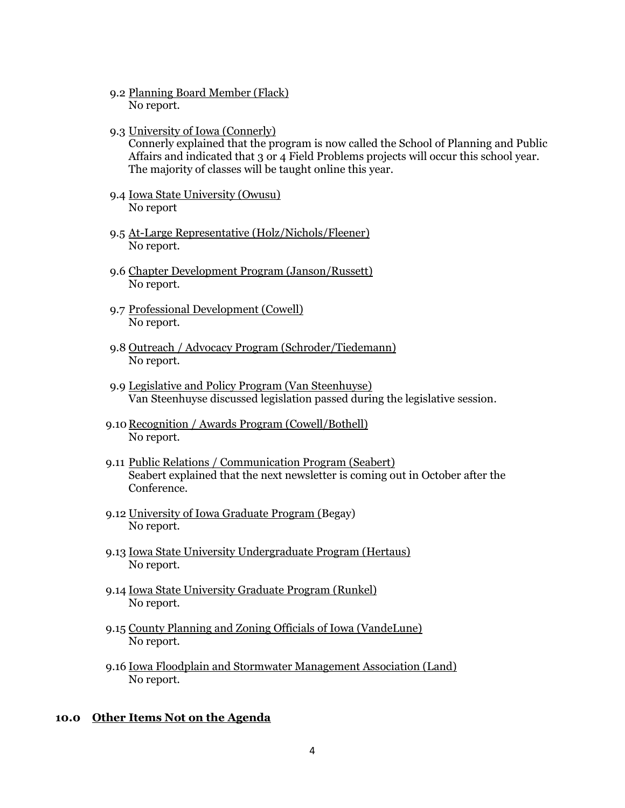- 9.2 Planning Board Member (Flack) No report.
- 9.3 University of Iowa (Connerly)

Connerly explained that the program is now called the School of Planning and Public Affairs and indicated that 3 or 4 Field Problems projects will occur this school year. The majority of classes will be taught online this year.

- 9.4 Iowa State University (Owusu) No report
- 9.5 At-Large Representative (Holz/Nichols/Fleener) No report.
- 9.6 Chapter Development Program (Janson/Russett) No report.
- 9.7 Professional Development (Cowell) No report.
- 9.8 Outreach / Advocacy Program (Schroder/Tiedemann) No report.
- 9.9 Legislative and Policy Program (Van Steenhuyse) Van Steenhuyse discussed legislation passed during the legislative session.
- 9.10 Recognition / Awards Program (Cowell/Bothell) No report.
- 9.11 Public Relations / Communication Program (Seabert) Seabert explained that the next newsletter is coming out in October after the Conference.
- 9.12 University of Iowa Graduate Program (Begay) No report.
- 9.13 Iowa State University Undergraduate Program (Hertaus) No report.
- 9.14 Iowa State University Graduate Program (Runkel) No report.
- 9.15 County Planning and Zoning Officials of Iowa (VandeLune) No report.
- 9.16 Iowa Floodplain and Stormwater Management Association (Land) No report.

#### **10.0 Other Items Not on the Agenda**